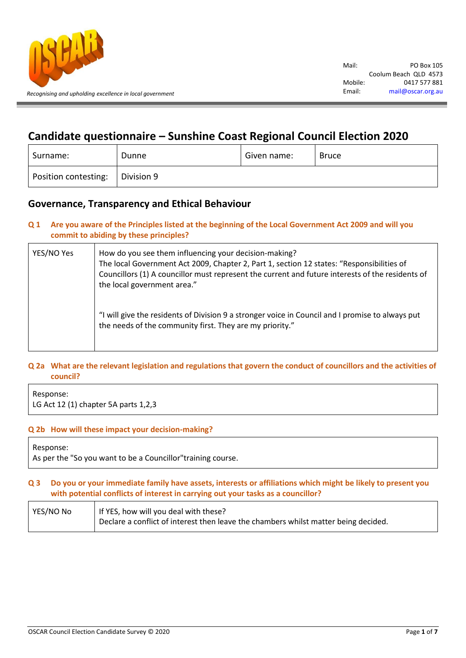

# **Candidate questionnaire – Sunshine Coast Regional Council Election 2020**

| Surname:             | Dunne      | Given name: | Bruce |
|----------------------|------------|-------------|-------|
| Position contesting: | Division 9 |             |       |

## **Governance, Transparency and Ethical Behaviour**

**Q 1 Are you aware of the Principles listed at the beginning of the Local Government Act 2009 and will you commit to abiding by these principles?**

| YES/NO Yes | How do you see them influencing your decision-making?<br>The local Government Act 2009, Chapter 2, Part 1, section 12 states: "Responsibilities of<br>Councillors (1) A councillor must represent the current and future interests of the residents of<br>the local government area." |
|------------|---------------------------------------------------------------------------------------------------------------------------------------------------------------------------------------------------------------------------------------------------------------------------------------|
|            | "I will give the residents of Division 9 a stronger voice in Council and I promise to always put<br>the needs of the community first. They are my priority."                                                                                                                          |

## **Q 2a What are the relevant legislation and regulations that govern the conduct of councillors and the activities of council?**

Response: LG Act 12 (1) chapter 5A parts 1,2,3

## **Q 2b How will these impact your decision-making?**

Response:

As per the "So you want to be a Councillor"training course.

## **Q 3 Do you or your immediate family have assets, interests or affiliations which might be likely to present you with potential conflicts of interest in carrying out your tasks as a councillor?**

| YES/NO No | If YES, how will you deal with these?                                               |  |
|-----------|-------------------------------------------------------------------------------------|--|
|           | Declare a conflict of interest then leave the chambers whilst matter being decided. |  |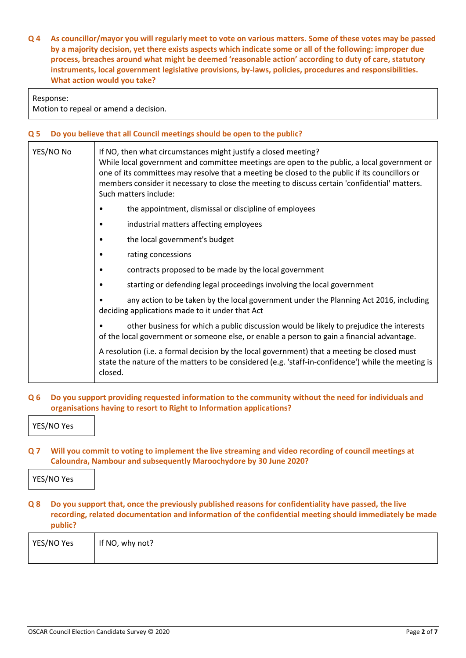**Q 4 As councillor/mayor you will regularly meet to vote on various matters. Some of these votes may be passed by a majority decision, yet there exists aspects which indicate some or all of the following: improper due process, breaches around what might be deemed 'reasonable action' according to duty of care, statutory instruments, local government legislative provisions, by-laws, policies, procedures and responsibilities. What action would you take?**

#### Response:

Motion to repeal or amend a decision.

#### **Q 5 Do you believe that all Council meetings should be open to the public?**

| YES/NO No | If NO, then what circumstances might justify a closed meeting?<br>While local government and committee meetings are open to the public, a local government or<br>one of its committees may resolve that a meeting be closed to the public if its councillors or<br>members consider it necessary to close the meeting to discuss certain 'confidential' matters.<br>Such matters include: |
|-----------|-------------------------------------------------------------------------------------------------------------------------------------------------------------------------------------------------------------------------------------------------------------------------------------------------------------------------------------------------------------------------------------------|
|           | the appointment, dismissal or discipline of employees<br>$\bullet$                                                                                                                                                                                                                                                                                                                        |
|           | industrial matters affecting employees<br>٠                                                                                                                                                                                                                                                                                                                                               |
|           | the local government's budget<br>٠                                                                                                                                                                                                                                                                                                                                                        |
|           | rating concessions<br>٠                                                                                                                                                                                                                                                                                                                                                                   |
|           | contracts proposed to be made by the local government<br>٠                                                                                                                                                                                                                                                                                                                                |
|           | starting or defending legal proceedings involving the local government<br>٠                                                                                                                                                                                                                                                                                                               |
|           | any action to be taken by the local government under the Planning Act 2016, including<br>deciding applications made to it under that Act                                                                                                                                                                                                                                                  |
|           | other business for which a public discussion would be likely to prejudice the interests<br>of the local government or someone else, or enable a person to gain a financial advantage.                                                                                                                                                                                                     |
|           | A resolution (i.e. a formal decision by the local government) that a meeting be closed must<br>state the nature of the matters to be considered (e.g. 'staff-in-confidence') while the meeting is<br>closed.                                                                                                                                                                              |

## **Q 6 Do you support providing requested information to the community without the need for individuals and organisations having to resort to Right to Information applications?**

YES/NO Yes

**Q 7 Will you commit to voting to implement the live streaming and video recording of council meetings at Caloundra, Nambour and subsequently Maroochydore by 30 June 2020?**

YES/NO Yes

**Q 8 Do you support that, once the previously published reasons for confidentiality have passed, the live recording, related documentation and information of the confidential meeting should immediately be made public?**

| YES/NO Yes | If NO, why not? |
|------------|-----------------|
|            |                 |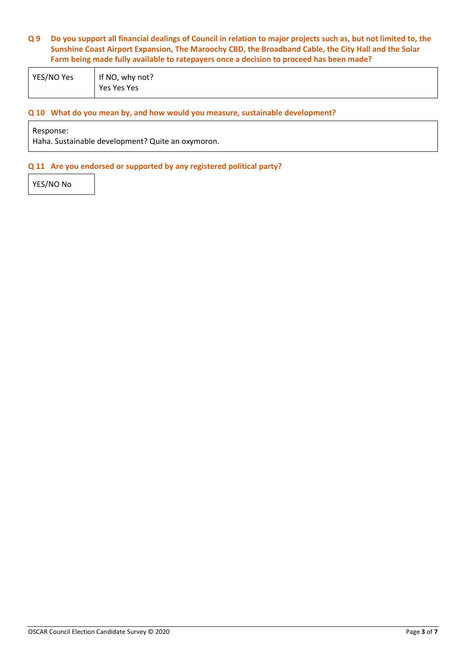## **Q 9 Do you support all financial dealings of Council in relation to major projects such as, but not limited to, the Sunshine Coast Airport Expansion, The Maroochy CBD, the Broadband Cable, the City Hall and the Solar Farm being made fully available to ratepayers once a decision to proceed has been made?**

| YES/NO Yes | If NO, why not? |
|------------|-----------------|
|            | Yes Yes Yes     |

## **Q 10 What do you mean by, and how would you measure, sustainable development?**

Response:

Haha. Sustainable development? Quite an oxymoron.

### **Q 11 Are you endorsed or supported by any registered political party?**

YES/NO No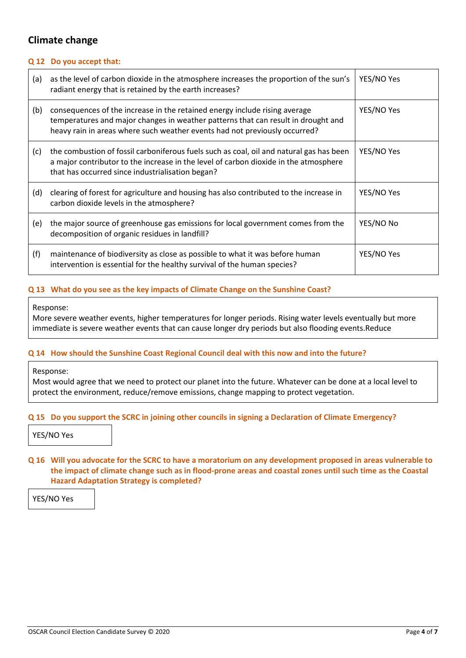## **Climate change**

## **Q 12 Do you accept that:**

| (a) | as the level of carbon dioxide in the atmosphere increases the proportion of the sun's<br>radiant energy that is retained by the earth increases?                                                                                             | YES/NO Yes |
|-----|-----------------------------------------------------------------------------------------------------------------------------------------------------------------------------------------------------------------------------------------------|------------|
| (b) | consequences of the increase in the retained energy include rising average<br>temperatures and major changes in weather patterns that can result in drought and<br>heavy rain in areas where such weather events had not previously occurred? | YES/NO Yes |
| (c) | the combustion of fossil carboniferous fuels such as coal, oil and natural gas has been<br>a major contributor to the increase in the level of carbon dioxide in the atmosphere<br>that has occurred since industrialisation began?           | YES/NO Yes |
| (d) | clearing of forest for agriculture and housing has also contributed to the increase in<br>carbon dioxide levels in the atmosphere?                                                                                                            | YES/NO Yes |
| (e) | the major source of greenhouse gas emissions for local government comes from the<br>decomposition of organic residues in landfill?                                                                                                            | YES/NO No  |
| (f) | maintenance of biodiversity as close as possible to what it was before human<br>intervention is essential for the healthy survival of the human species?                                                                                      | YES/NO Yes |

## **Q 13 What do you see as the key impacts of Climate Change on the Sunshine Coast?**

#### Response:

More severe weather events, higher temperatures for longer periods. Rising water levels eventually but more immediate is severe weather events that can cause longer dry periods but also flooding events.Reduce

## **Q 14 How should the Sunshine Coast Regional Council deal with this now and into the future?**

Response:

Most would agree that we need to protect our planet into the future. Whatever can be done at a local level to protect the environment, reduce/remove emissions, change mapping to protect vegetation.

## **Q 15 Do you support the SCRC in joining other councils in signing a Declaration of Climate Emergency?**

YES/NO Yes

## **Q 16 Will you advocate for the SCRC to have a moratorium on any development proposed in areas vulnerable to the impact of climate change such as in flood-prone areas and coastal zones until such time as the Coastal Hazard Adaptation Strategy is completed?**

YES/NO Yes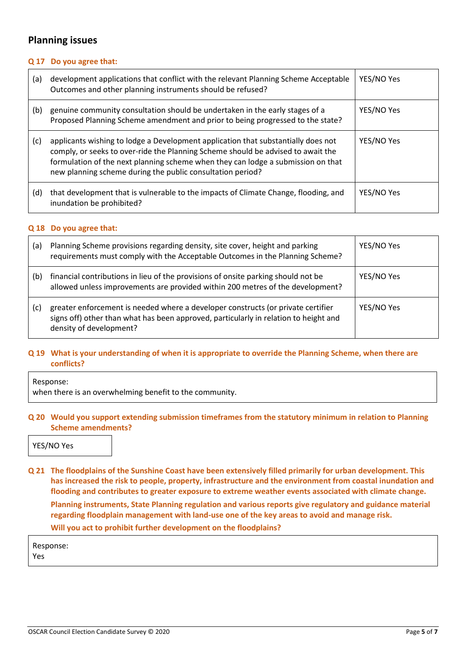## **Planning issues**

## **Q 17 Do you agree that:**

| (a) | development applications that conflict with the relevant Planning Scheme Acceptable<br>Outcomes and other planning instruments should be refused?                                                                                                                                                                       | YES/NO Yes |
|-----|-------------------------------------------------------------------------------------------------------------------------------------------------------------------------------------------------------------------------------------------------------------------------------------------------------------------------|------------|
| (b) | genuine community consultation should be undertaken in the early stages of a<br>Proposed Planning Scheme amendment and prior to being progressed to the state?                                                                                                                                                          | YES/NO Yes |
| (c) | applicants wishing to lodge a Development application that substantially does not<br>comply, or seeks to over-ride the Planning Scheme should be advised to await the<br>formulation of the next planning scheme when they can lodge a submission on that<br>new planning scheme during the public consultation period? | YES/NO Yes |
| (d) | that development that is vulnerable to the impacts of Climate Change, flooding, and<br>inundation be prohibited?                                                                                                                                                                                                        | YES/NO Yes |

#### **Q 18 Do you agree that:**

| (a) | Planning Scheme provisions regarding density, site cover, height and parking<br>requirements must comply with the Acceptable Outcomes in the Planning Scheme?                                       | YES/NO Yes |
|-----|-----------------------------------------------------------------------------------------------------------------------------------------------------------------------------------------------------|------------|
| (b) | financial contributions in lieu of the provisions of onsite parking should not be<br>allowed unless improvements are provided within 200 metres of the development?                                 | YES/NO Yes |
| (c) | greater enforcement is needed where a developer constructs (or private certifier<br>signs off) other than what has been approved, particularly in relation to height and<br>density of development? | YES/NO Yes |

## **Q 19 What is your understanding of when it is appropriate to override the Planning Scheme, when there are conflicts?**

Response:

when there is an overwhelming benefit to the community.

## **Q 20 Would you support extending submission timeframes from the statutory minimum in relation to Planning Scheme amendments?**

YES/NO Yes

**Q 21 The floodplains of the Sunshine Coast have been extensively filled primarily for urban development. This has increased the risk to people, property, infrastructure and the environment from coastal inundation and flooding and contributes to greater exposure to extreme weather events associated with climate change. Planning instruments, State Planning regulation and various reports give regulatory and guidance material regarding floodplain management with land-use one of the key areas to avoid and manage risk. Will you act to prohibit further development on the floodplains?**

Response: Yes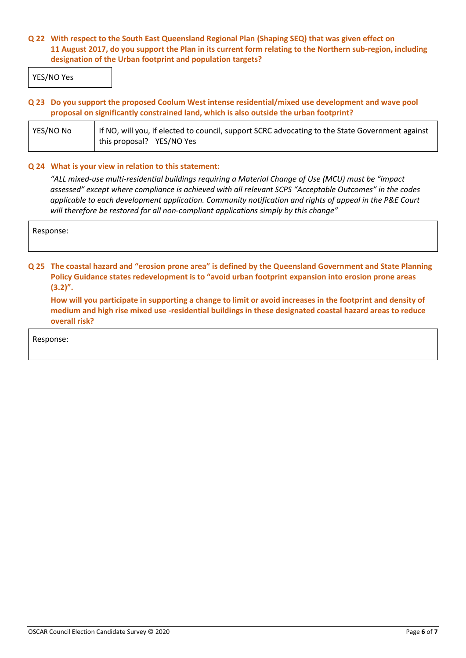## **Q 22 With respect to the South East Queensland Regional Plan (Shaping SEQ) that was given effect on 11 August 2017, do you support the Plan in its current form relating to the Northern sub-region, including designation of the Urban footprint and population targets?**

YES/NO Yes

## **Q 23 Do you support the proposed Coolum West intense residential/mixed use development and wave pool proposal on significantly constrained land, which is also outside the urban footprint?**

| YES/NO No | If NO, will you, if elected to council, support SCRC advocating to the State Government against |  |
|-----------|-------------------------------------------------------------------------------------------------|--|
|           | this proposal? YES/NO Yes                                                                       |  |

## **Q 24 What is your view in relation to this statement:**

*"ALL mixed-use multi-residential buildings requiring a Material Change of Use (MCU) must be "impact assessed" except where compliance is achieved with all relevant SCPS "Acceptable Outcomes" in the codes applicable to each development application. Community notification and rights of appeal in the P&E Court will therefore be restored for all non-compliant applications simply by this change"*

Response:

**Q 25 The coastal hazard and "erosion prone area" is defined by the Queensland Government and State Planning Policy Guidance states redevelopment is to "avoid urban footprint expansion into erosion prone areas (3.2)".**

**How will you participate in supporting a change to limit or avoid increases in the footprint and density of medium and high rise mixed use -residential buildings in these designated coastal hazard areas to reduce overall risk?**

Response: